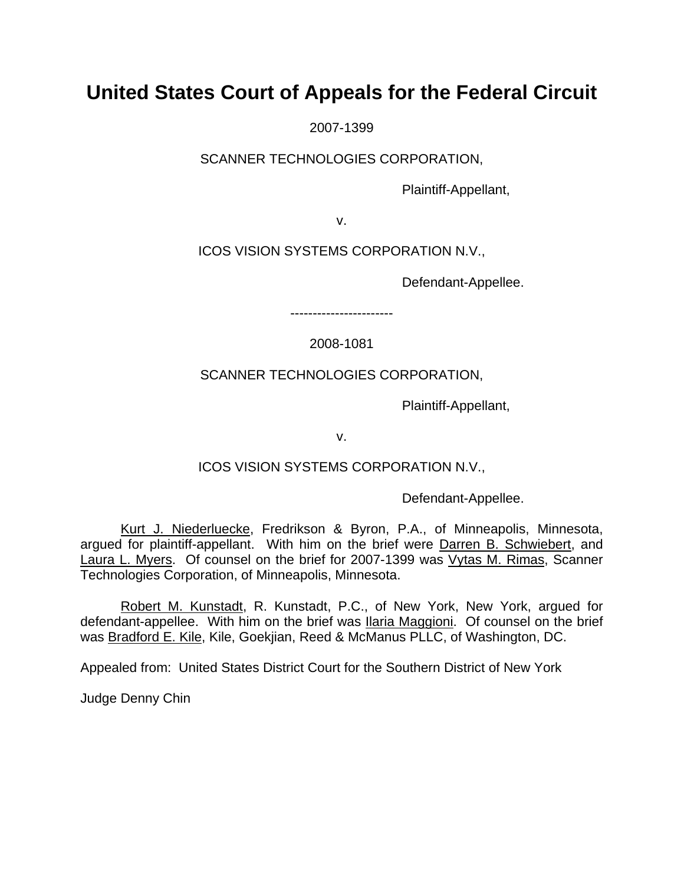# **United States Court of Appeals for the Federal Circuit**

2007-1399

SCANNER TECHNOLOGIES CORPORATION,

Plaintiff-Appellant,

v.

ICOS VISION SYSTEMS CORPORATION N.V.,

Defendant-Appellee.

2008-1081

-----------------------

SCANNER TECHNOLOGIES CORPORATION,

Plaintiff-Appellant,

v.

ICOS VISION SYSTEMS CORPORATION N.V.,

Defendant-Appellee.

Kurt J. Niederluecke, Fredrikson & Byron, P.A., of Minneapolis, Minnesota, argued for plaintiff-appellant. With him on the brief were Darren B. Schwiebert, and Laura L. Myers. Of counsel on the brief for 2007-1399 was Vytas M. Rimas, Scanner Technologies Corporation, of Minneapolis, Minnesota.

Robert M. Kunstadt, R. Kunstadt, P.C., of New York, New York, argued for defendant-appellee. With him on the brief was Ilaria Maggioni. Of counsel on the brief was Bradford E. Kile, Kile, Goekjian, Reed & McManus PLLC, of Washington, DC.

Appealed from: United States District Court for the Southern District of New York

Judge Denny Chin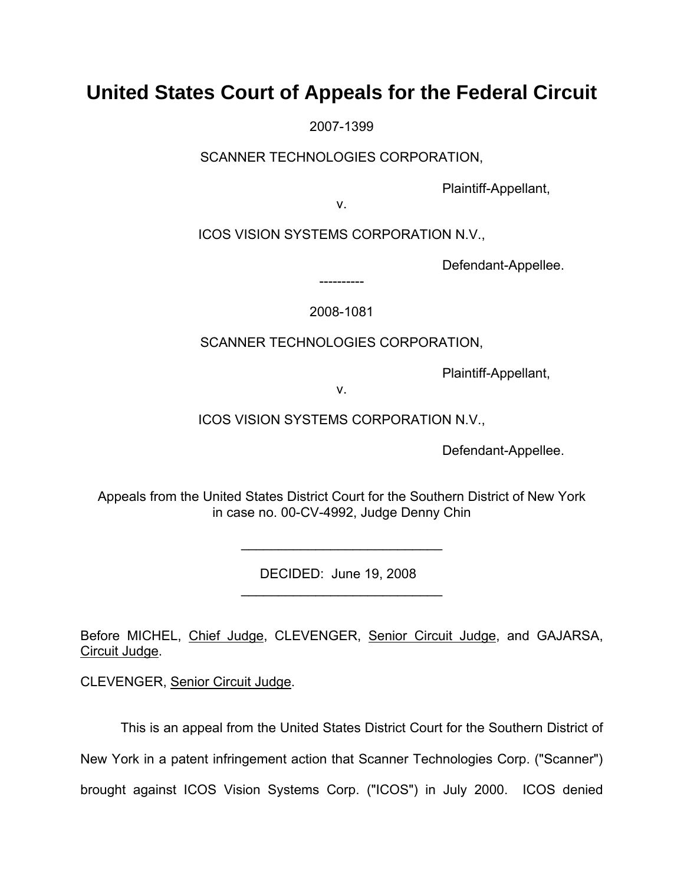# **United States Court of Appeals for the Federal Circuit**

2007-1399

SCANNER TECHNOLOGIES CORPORATION,

Plaintiff-Appellant,

v.

ICOS VISION SYSTEMS CORPORATION N.V.,

Defendant-Appellee.

2008-1081

----------

SCANNER TECHNOLOGIES CORPORATION,

Plaintiff-Appellant,

v.

ICOS VISION SYSTEMS CORPORATION N.V.,

Defendant-Appellee.

Appeals from the United States District Court for the Southern District of New York in case no. 00-CV-4992, Judge Denny Chin

DECIDED: June 19, 2008

 $\mathcal{L}_\text{max} = \mathcal{L}_\text{max} = \frac{1}{2} \sum_{i=1}^{n} \frac{1}{2} \sum_{i=1}^{n} \frac{1}{2} \sum_{i=1}^{n} \frac{1}{2} \sum_{i=1}^{n} \frac{1}{2} \sum_{i=1}^{n} \frac{1}{2} \sum_{i=1}^{n} \frac{1}{2} \sum_{i=1}^{n} \frac{1}{2} \sum_{i=1}^{n} \frac{1}{2} \sum_{i=1}^{n} \frac{1}{2} \sum_{i=1}^{n} \frac{1}{2} \sum_{i=1}^{n} \frac{1}{2} \sum$ 

 $\mathcal{L}_\text{max} = \mathcal{L}_\text{max} = \frac{1}{2} \sum_{i=1}^{n} \frac{1}{2} \sum_{i=1}^{n} \frac{1}{2} \sum_{i=1}^{n} \frac{1}{2} \sum_{i=1}^{n} \frac{1}{2} \sum_{i=1}^{n} \frac{1}{2} \sum_{i=1}^{n} \frac{1}{2} \sum_{i=1}^{n} \frac{1}{2} \sum_{i=1}^{n} \frac{1}{2} \sum_{i=1}^{n} \frac{1}{2} \sum_{i=1}^{n} \frac{1}{2} \sum_{i=1}^{n} \frac{1}{2} \sum$ 

Before MICHEL, Chief Judge, CLEVENGER, Senior Circuit Judge, and GAJARSA, Circuit Judge.

CLEVENGER, Senior Circuit Judge.

This is an appeal from the United States District Court for the Southern District of New York in a patent infringement action that Scanner Technologies Corp. ("Scanner") brought against ICOS Vision Systems Corp. ("ICOS") in July 2000. ICOS denied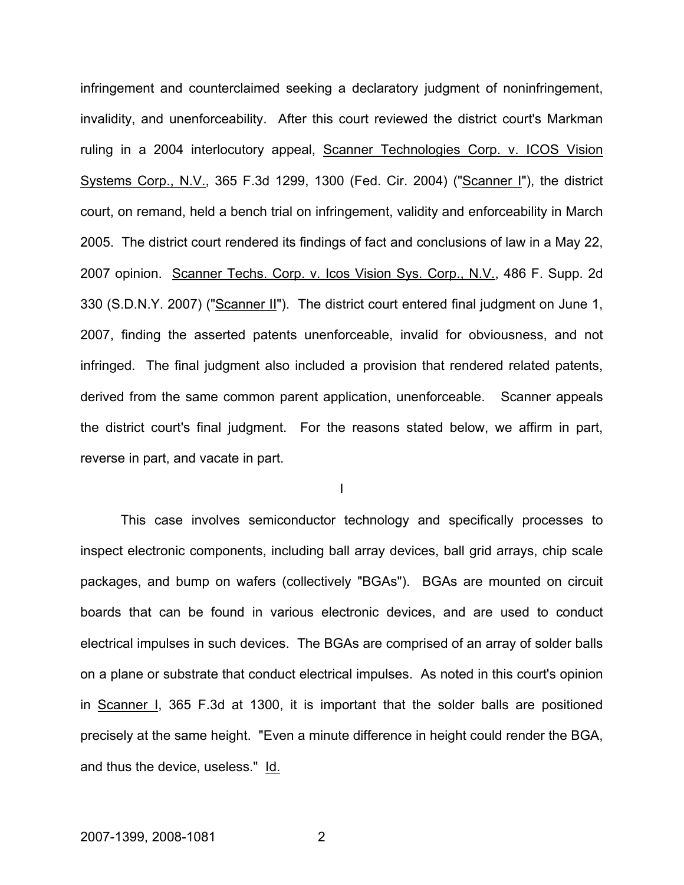infringement and counterclaimed seeking a declaratory judgment of noninfringement, invalidity, and unenforceability. After this court reviewed the district court's Markman ruling in a 2004 interlocutory appeal, Scanner Technologies Corp. v. ICOS Vision Systems Corp., N.V., 365 F.3d 1299, 1300 (Fed. Cir. 2004) ("Scanner I"), the district court, on remand, held a bench trial on infringement, validity and enforceability in March 2005. The district court rendered its findings of fact and conclusions of law in a May 22, 2007 opinion. Scanner Techs. Corp. v. Icos Vision Sys. Corp., N.V., 486 F. Supp. 2d 330 (S.D.N.Y. 2007) ("Scanner II"). The district court entered final judgment on June 1, 2007, finding the asserted patents unenforceable, invalid for obviousness, and not infringed. The final judgment also included a provision that rendered related patents, derived from the same common parent application, unenforceable. Scanner appeals the district court's final judgment. For the reasons stated below, we affirm in part, reverse in part, and vacate in part.

I

This case involves semiconductor technology and specifically processes to inspect electronic components, including ball array devices, ball grid arrays, chip scale packages, and bump on wafers (collectively "BGAs"). BGAs are mounted on circuit boards that can be found in various electronic devices, and are used to conduct electrical impulses in such devices. The BGAs are comprised of an array of solder balls on a plane or substrate that conduct electrical impulses. As noted in this court's opinion in Scanner I, 365 F.3d at 1300, it is important that the solder balls are positioned precisely at the same height. "Even a minute difference in height could render the BGA, and thus the device, useless." Id.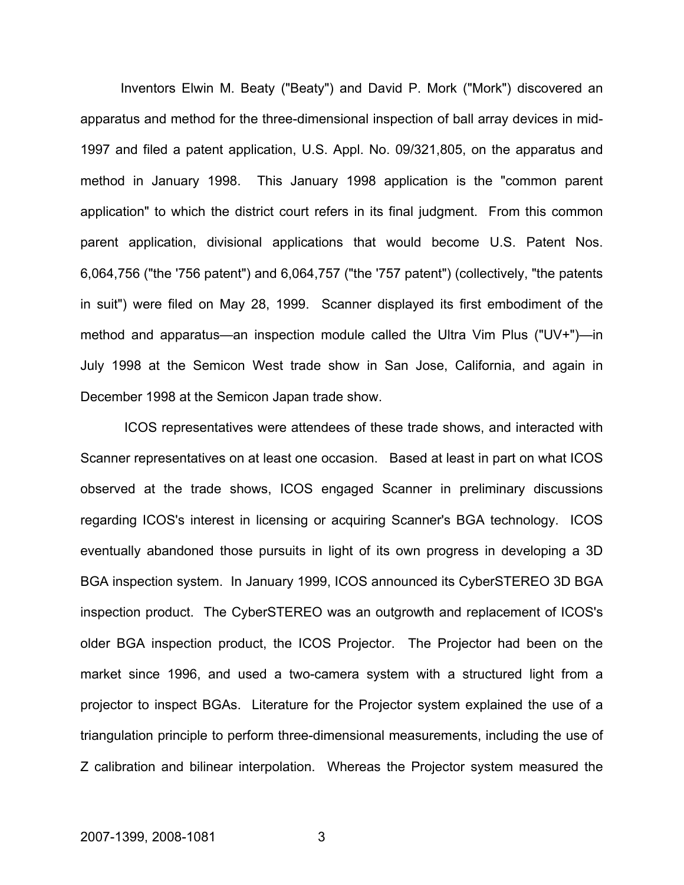Inventors Elwin M. Beaty ("Beaty") and David P. Mork ("Mork") discovered an apparatus and method for the three-dimensional inspection of ball array devices in mid-1997 and filed a patent application, U.S. Appl. No. 09/321,805, on the apparatus and method in January 1998. This January 1998 application is the "common parent application" to which the district court refers in its final judgment. From this common parent application, divisional applications that would become U.S. Patent Nos. 6,064,756 ("the '756 patent") and 6,064,757 ("the '757 patent") (collectively, "the patents in suit") were filed on May 28, 1999. Scanner displayed its first embodiment of the method and apparatus—an inspection module called the Ultra Vim Plus ("UV+")—in July 1998 at the Semicon West trade show in San Jose, California, and again in December 1998 at the Semicon Japan trade show.

 ICOS representatives were attendees of these trade shows, and interacted with Scanner representatives on at least one occasion. Based at least in part on what ICOS observed at the trade shows, ICOS engaged Scanner in preliminary discussions regarding ICOS's interest in licensing or acquiring Scanner's BGA technology. ICOS eventually abandoned those pursuits in light of its own progress in developing a 3D BGA inspection system. In January 1999, ICOS announced its CyberSTEREO 3D BGA inspection product. The CyberSTEREO was an outgrowth and replacement of ICOS's older BGA inspection product, the ICOS Projector. The Projector had been on the market since 1996, and used a two-camera system with a structured light from a projector to inspect BGAs. Literature for the Projector system explained the use of a triangulation principle to perform three-dimensional measurements, including the use of Z calibration and bilinear interpolation. Whereas the Projector system measured the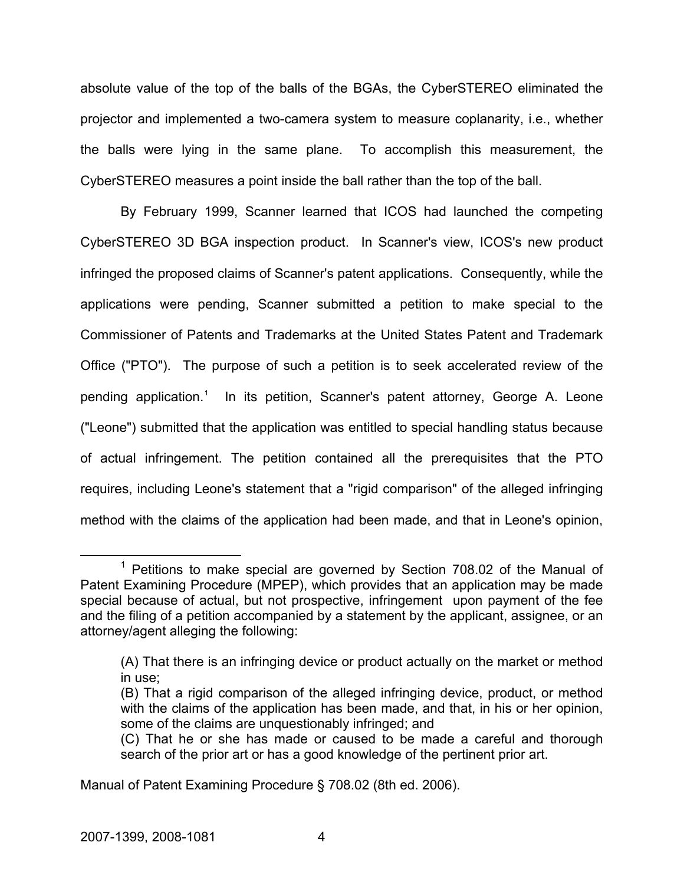absolute value of the top of the balls of the BGAs, the CyberSTEREO eliminated the projector and implemented a two-camera system to measure coplanarity, i.e., whether the balls were lying in the same plane. To accomplish this measurement, the CyberSTEREO measures a point inside the ball rather than the top of the ball.

By February 1999, Scanner learned that ICOS had launched the competing CyberSTEREO 3D BGA inspection product. In Scanner's view, ICOS's new product infringed the proposed claims of Scanner's patent applications. Consequently, while the applications were pending, Scanner submitted a petition to make special to the Commissioner of Patents and Trademarks at the United States Patent and Trademark Office ("PTO"). The purpose of such a petition is to seek accelerated review of the pending application.<sup>[1](#page-4-0)</sup> In its petition, Scanner's patent attorney, George A. Leone ("Leone") submitted that the application was entitled to special handling status because of actual infringement. The petition contained all the prerequisites that the PTO requires, including Leone's statement that a "rigid comparison" of the alleged infringing method with the claims of the application had been made, and that in Leone's opinion,

Manual of Patent Examining Procedure § 708.02 (8th ed. 2006).

<span id="page-4-0"></span> <sup>1</sup>  $1$  Petitions to make special are governed by Section 708.02 of the Manual of Patent Examining Procedure (MPEP), which provides that an application may be made special because of actual, but not prospective, infringement upon payment of the fee and the filing of a petition accompanied by a statement by the applicant, assignee, or an attorney/agent alleging the following:

<sup>(</sup>A) That there is an infringing device or product actually on the market or method in use;

<sup>(</sup>B) That a rigid comparison of the alleged infringing device, product, or method with the claims of the application has been made, and that, in his or her opinion, some of the claims are unquestionably infringed; and

<sup>(</sup>C) That he or she has made or caused to be made a careful and thorough search of the prior art or has a good knowledge of the pertinent prior art.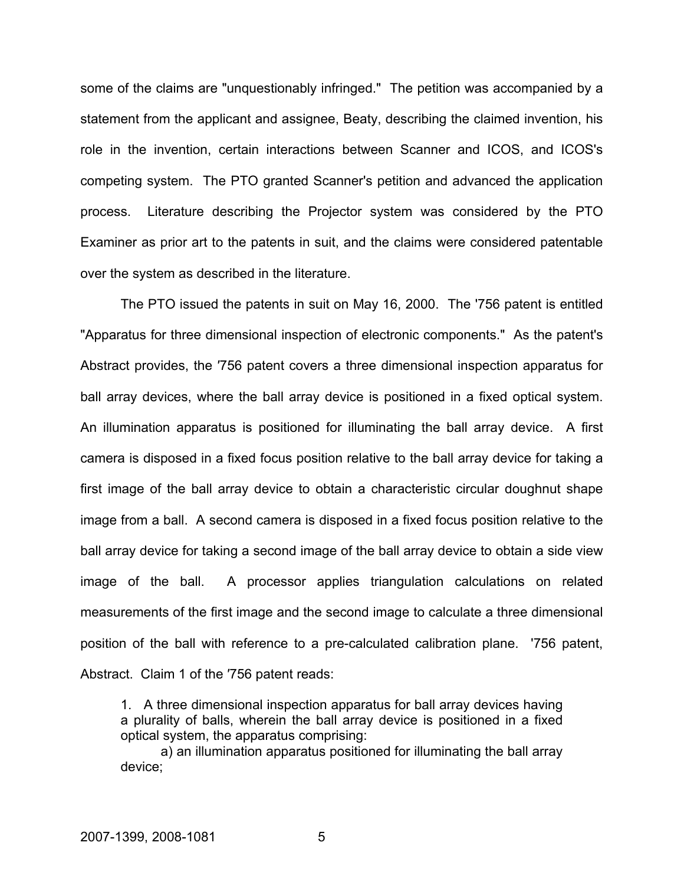some of the claims are "unquestionably infringed." The petition was accompanied by a statement from the applicant and assignee, Beaty, describing the claimed invention, his role in the invention, certain interactions between Scanner and ICOS, and ICOS's competing system. The PTO granted Scanner's petition and advanced the application process. Literature describing the Projector system was considered by the PTO Examiner as prior art to the patents in suit, and the claims were considered patentable over the system as described in the literature.

The PTO issued the patents in suit on May 16, 2000. The '756 patent is entitled "Apparatus for three dimensional inspection of electronic components." As the patent's Abstract provides, the ′756 patent covers a three dimensional inspection apparatus for ball array devices, where the ball array device is positioned in a fixed optical system. An illumination apparatus is positioned for illuminating the ball array device. A first camera is disposed in a fixed focus position relative to the ball array device for taking a first image of the ball array device to obtain a characteristic circular doughnut shape image from a ball. A second camera is disposed in a fixed focus position relative to the ball array device for taking a second image of the ball array device to obtain a side view image of the ball. A processor applies triangulation calculations on related measurements of the first image and the second image to calculate a three dimensional position of the ball with reference to a pre-calculated calibration plane. '756 patent, Abstract. Claim 1 of the ′756 patent reads:

1. A three dimensional inspection apparatus for ball array devices having a plurality of balls, wherein the ball array device is positioned in a fixed optical system, the apparatus comprising:

a) an illumination apparatus positioned for illuminating the ball array device;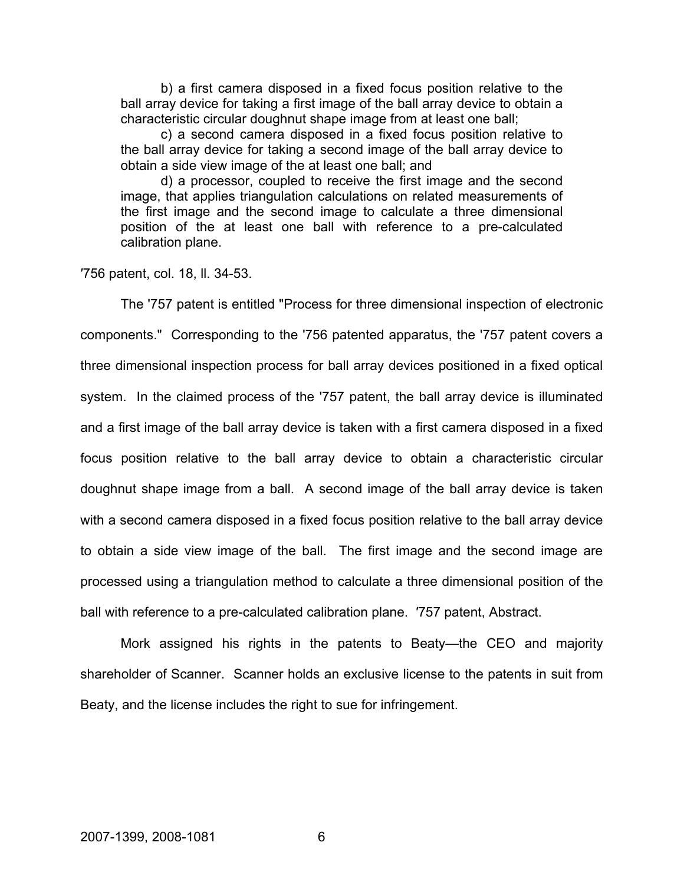b) a first camera disposed in a fixed focus position relative to the ball array device for taking a first image of the ball array device to obtain a characteristic circular doughnut shape image from at least one ball;

c) a second camera disposed in a fixed focus position relative to the ball array device for taking a second image of the ball array device to obtain a side view image of the at least one ball; and

d) a processor, coupled to receive the first image and the second image, that applies triangulation calculations on related measurements of the first image and the second image to calculate a three dimensional position of the at least one ball with reference to a pre-calculated calibration plane.

′756 patent, col. 18, ll. 34-53.

The '757 patent is entitled "Process for three dimensional inspection of electronic components." Corresponding to the '756 patented apparatus, the '757 patent covers a three dimensional inspection process for ball array devices positioned in a fixed optical system. In the claimed process of the '757 patent, the ball array device is illuminated and a first image of the ball array device is taken with a first camera disposed in a fixed focus position relative to the ball array device to obtain a characteristic circular doughnut shape image from a ball. A second image of the ball array device is taken with a second camera disposed in a fixed focus position relative to the ball array device to obtain a side view image of the ball. The first image and the second image are processed using a triangulation method to calculate a three dimensional position of the ball with reference to a pre-calculated calibration plane. ′757 patent, Abstract.

Mork assigned his rights in the patents to Beaty—the CEO and majority shareholder of Scanner. Scanner holds an exclusive license to the patents in suit from Beaty, and the license includes the right to sue for infringement.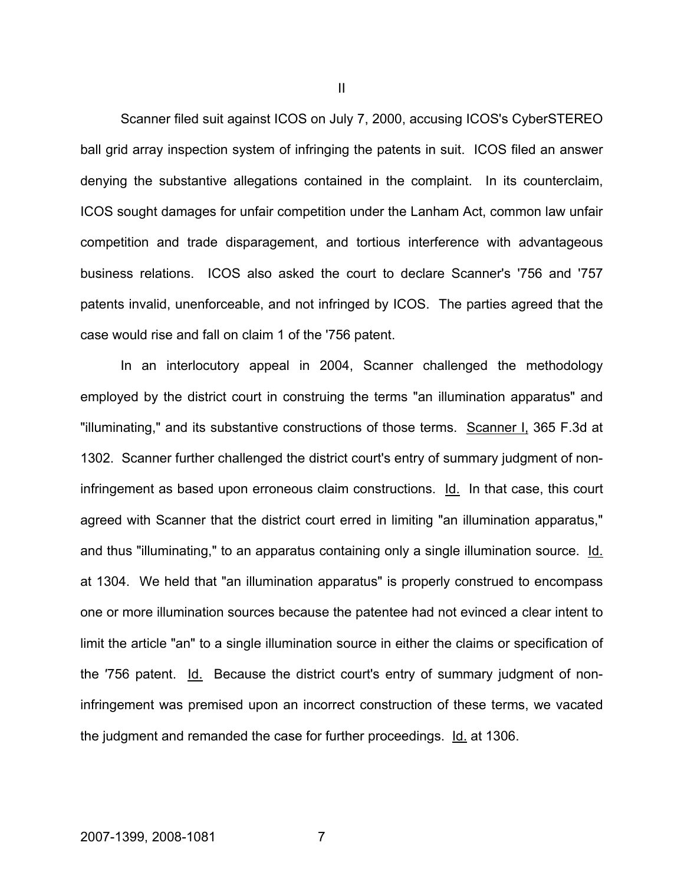Scanner filed suit against ICOS on July 7, 2000, accusing ICOS's CyberSTEREO ball grid array inspection system of infringing the patents in suit. ICOS filed an answer denying the substantive allegations contained in the complaint. In its counterclaim, ICOS sought damages for unfair competition under the Lanham Act, common law unfair competition and trade disparagement, and tortious interference with advantageous business relations. ICOS also asked the court to declare Scanner's '756 and '757 patents invalid, unenforceable, and not infringed by ICOS. The parties agreed that the case would rise and fall on claim 1 of the '756 patent.

In an interlocutory appeal in 2004, Scanner challenged the methodology employed by the district court in construing the terms "an illumination apparatus" and "illuminating," and its substantive constructions of those terms. Scanner I, 365 F.3d at 1302. Scanner further challenged the district court's entry of summary judgment of noninfringement as based upon erroneous claim constructions. Id. In that case, this court agreed with Scanner that the district court erred in limiting "an illumination apparatus," and thus "illuminating," to an apparatus containing only a single illumination source. Id. at 1304. We held that "an illumination apparatus" is properly construed to encompass one or more illumination sources because the patentee had not evinced a clear intent to limit the article "an" to a single illumination source in either the claims or specification of the ′756 patent. Id. Because the district court's entry of summary judgment of noninfringement was premised upon an incorrect construction of these terms, we vacated the judgment and remanded the case for further proceedings. Id. at 1306.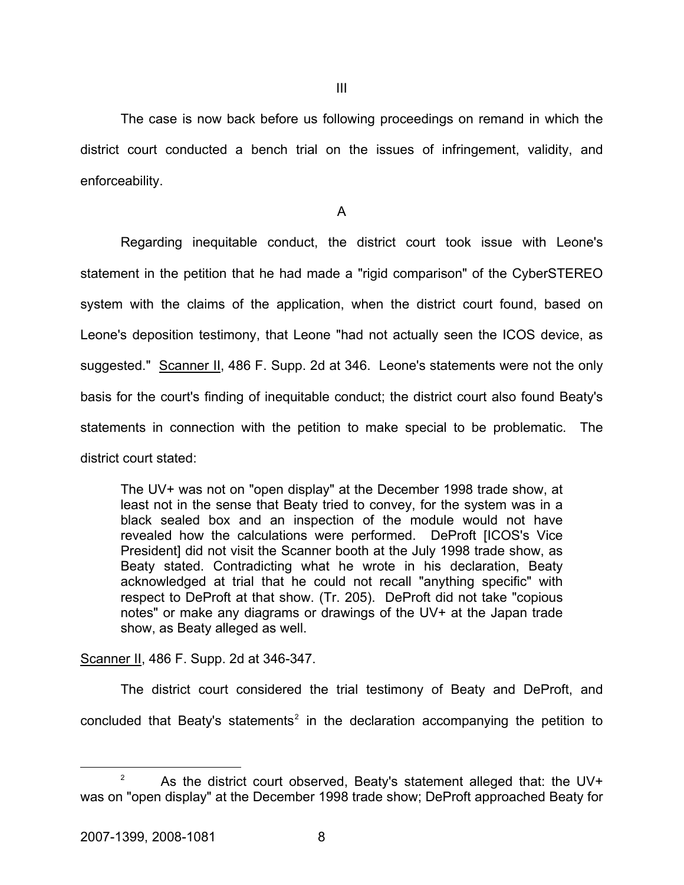The case is now back before us following proceedings on remand in which the district court conducted a bench trial on the issues of infringement, validity, and enforceability.

A

Regarding inequitable conduct, the district court took issue with Leone's statement in the petition that he had made a "rigid comparison" of the CyberSTEREO system with the claims of the application, when the district court found, based on Leone's deposition testimony, that Leone "had not actually seen the ICOS device, as suggested." Scanner II, 486 F. Supp. 2d at 346. Leone's statements were not the only basis for the court's finding of inequitable conduct; the district court also found Beaty's statements in connection with the petition to make special to be problematic. The district court stated:

The UV+ was not on "open display" at the December 1998 trade show, at least not in the sense that Beaty tried to convey, for the system was in a black sealed box and an inspection of the module would not have revealed how the calculations were performed. DeProft [ICOS's Vice President] did not visit the Scanner booth at the July 1998 trade show, as Beaty stated. Contradicting what he wrote in his declaration, Beaty acknowledged at trial that he could not recall "anything specific" with respect to DeProft at that show. (Tr. 205). DeProft did not take "copious notes" or make any diagrams or drawings of the UV+ at the Japan trade show, as Beaty alleged as well.

Scanner II, 486 F. Supp. 2d at 346-347.

The district court considered the trial testimony of Beaty and DeProft, and concluded that Beaty's statements<sup>[2](#page-8-0)</sup> in the declaration accompanying the petition to

<span id="page-8-0"></span> $\overline{\phantom{a}}$ <sup>2</sup> As the district court observed, Beaty's statement alleged that: the UV+ was on "open display" at the December 1998 trade show; DeProft approached Beaty for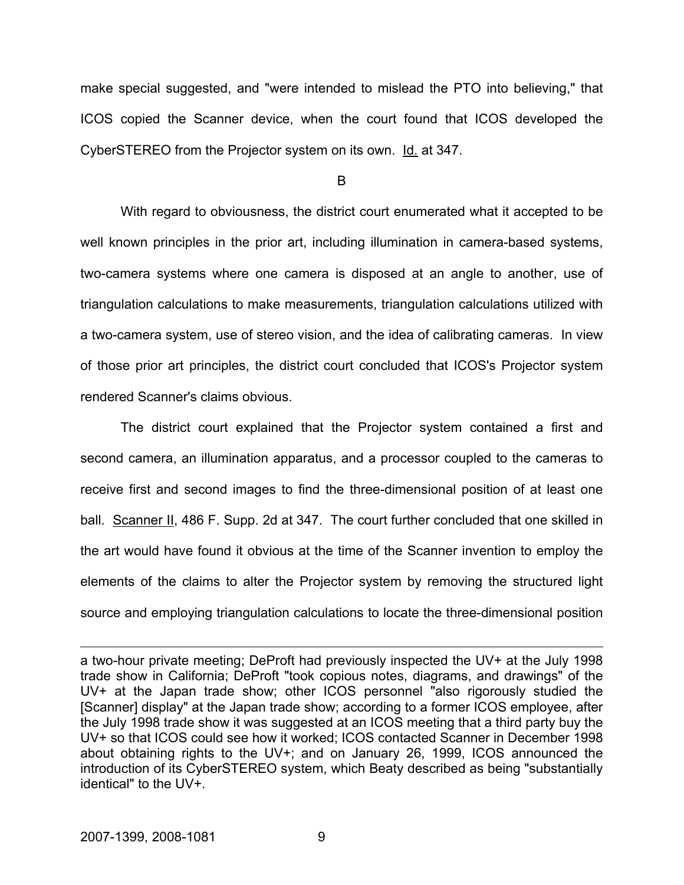make special suggested, and "were intended to mislead the PTO into believing," that ICOS copied the Scanner device, when the court found that ICOS developed the CyberSTEREO from the Projector system on its own. Id. at 347.

B

 With regard to obviousness, the district court enumerated what it accepted to be well known principles in the prior art, including illumination in camera-based systems, two-camera systems where one camera is disposed at an angle to another, use of triangulation calculations to make measurements, triangulation calculations utilized with a two-camera system, use of stereo vision, and the idea of calibrating cameras. In view of those prior art principles, the district court concluded that ICOS's Projector system rendered Scanner's claims obvious.

The district court explained that the Projector system contained a first and second camera, an illumination apparatus, and a processor coupled to the cameras to receive first and second images to find the three-dimensional position of at least one ball. Scanner II, 486 F. Supp. 2d at 347. The court further concluded that one skilled in the art would have found it obvious at the time of the Scanner invention to employ the elements of the claims to alter the Projector system by removing the structured light source and employing triangulation calculations to locate the three-dimensional position

 $\overline{a}$ 

a two-hour private meeting; DeProft had previously inspected the UV+ at the July 1998 trade show in California; DeProft "took copious notes, diagrams, and drawings" of the UV+ at the Japan trade show; other ICOS personnel "also rigorously studied the [Scanner] display" at the Japan trade show; according to a former ICOS employee, after the July 1998 trade show it was suggested at an ICOS meeting that a third party buy the UV+ so that ICOS could see how it worked; ICOS contacted Scanner in December 1998 about obtaining rights to the UV+; and on January 26, 1999, ICOS announced the introduction of its CyberSTEREO system, which Beaty described as being "substantially identical" to the UV+.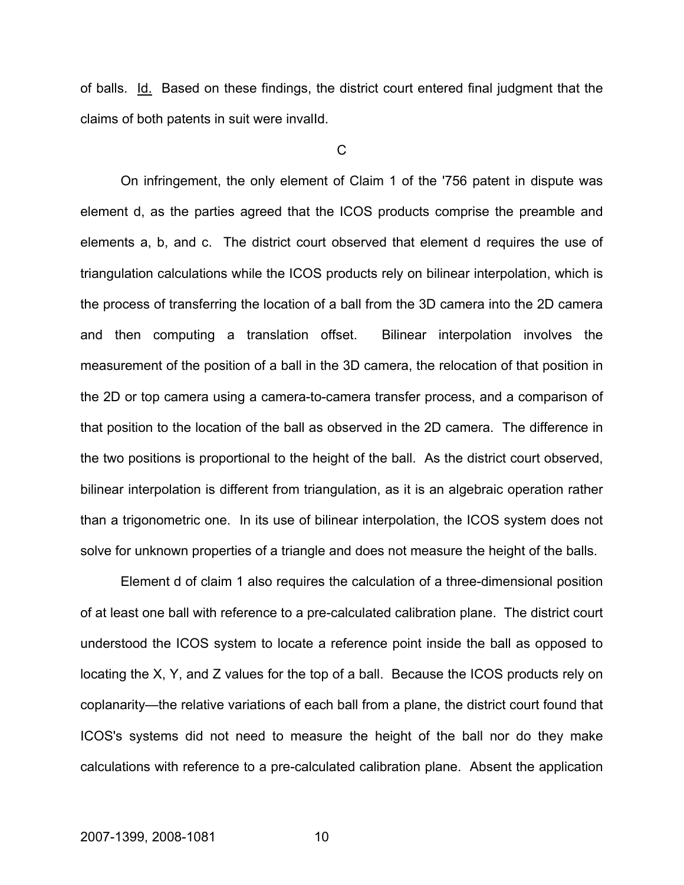of balls. Id. Based on these findings, the district court entered final judgment that the claims of both patents in suit were invalId.

 $\overline{C}$ 

On infringement, the only element of Claim 1 of the '756 patent in dispute was element d, as the parties agreed that the ICOS products comprise the preamble and elements a, b, and c. The district court observed that element d requires the use of triangulation calculations while the ICOS products rely on bilinear interpolation, which is the process of transferring the location of a ball from the 3D camera into the 2D camera and then computing a translation offset. Bilinear interpolation involves the measurement of the position of a ball in the 3D camera, the relocation of that position in the 2D or top camera using a camera-to-camera transfer process, and a comparison of that position to the location of the ball as observed in the 2D camera. The difference in the two positions is proportional to the height of the ball. As the district court observed, bilinear interpolation is different from triangulation, as it is an algebraic operation rather than a trigonometric one. In its use of bilinear interpolation, the ICOS system does not solve for unknown properties of a triangle and does not measure the height of the balls.

Element d of claim 1 also requires the calculation of a three-dimensional position of at least one ball with reference to a pre-calculated calibration plane. The district court understood the ICOS system to locate a reference point inside the ball as opposed to locating the X, Y, and Z values for the top of a ball. Because the ICOS products rely on coplanarity—the relative variations of each ball from a plane, the district court found that ICOS's systems did not need to measure the height of the ball nor do they make calculations with reference to a pre-calculated calibration plane. Absent the application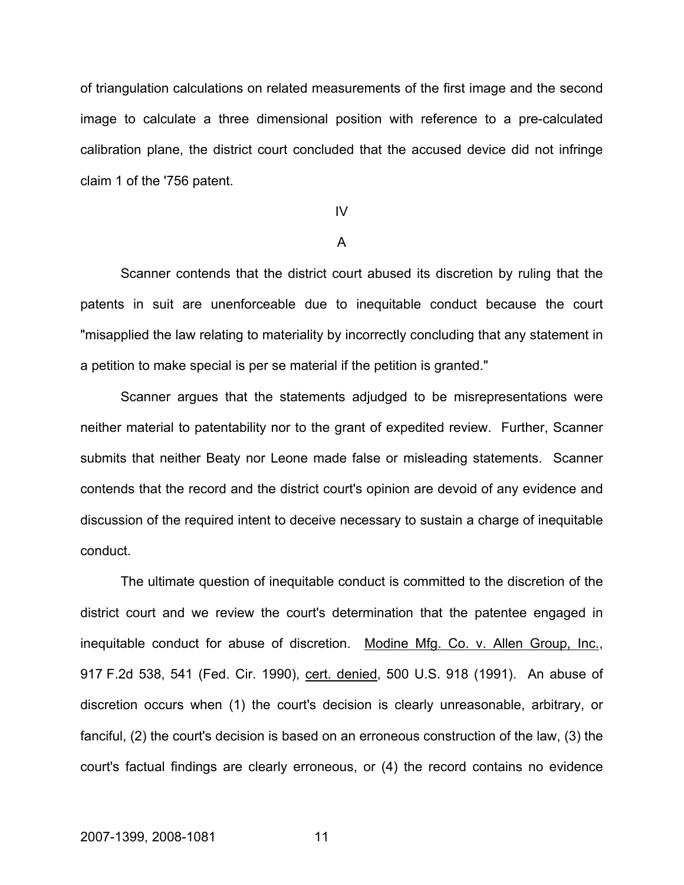of triangulation calculations on related measurements of the first image and the second image to calculate a three dimensional position with reference to a pre-calculated calibration plane, the district court concluded that the accused device did not infringe claim 1 of the '756 patent.

## IV

### A

Scanner contends that the district court abused its discretion by ruling that the patents in suit are unenforceable due to inequitable conduct because the court "misapplied the law relating to materiality by incorrectly concluding that any statement in a petition to make special is per se material if the petition is granted."

Scanner argues that the statements adjudged to be misrepresentations were neither material to patentability nor to the grant of expedited review. Further, Scanner submits that neither Beaty nor Leone made false or misleading statements. Scanner contends that the record and the district court's opinion are devoid of any evidence and discussion of the required intent to deceive necessary to sustain a charge of inequitable conduct.

The ultimate question of inequitable conduct is committed to the discretion of the district court and we review the court's determination that the patentee engaged in inequitable conduct for abuse of discretion. Modine Mfg. Co. v. Allen Group, Inc., 917 F.2d 538, 541 (Fed. Cir. 1990), cert. denied, 500 U.S. 918 (1991). An abuse of discretion occurs when (1) the court's decision is clearly unreasonable, arbitrary, or fanciful, (2) the court's decision is based on an erroneous construction of the law, (3) the court's factual findings are clearly erroneous, or (4) the record contains no evidence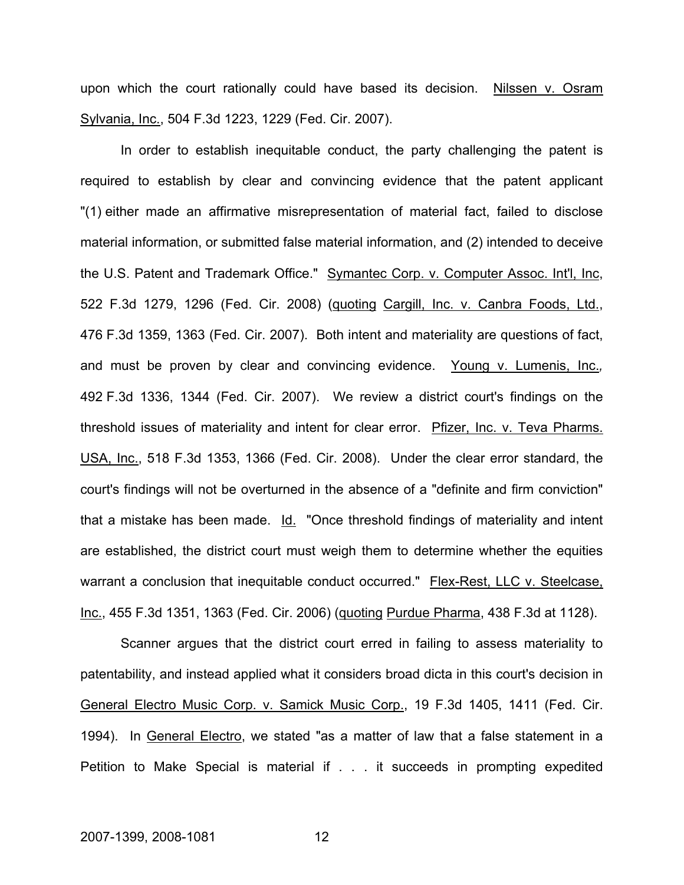upon which the court rationally could have based its decision. Nilssen v. Osram Sylvania, Inc., 504 F.3d 1223, 1229 (Fed. Cir. 2007).

In order to establish inequitable conduct, the party challenging the patent is required to establish by clear and convincing evidence that the patent applicant "(1) either made an affirmative misrepresentation of material fact, failed to disclose material information, or submitted false material information, and (2) intended to deceive the U.S. Patent and Trademark Office." Symantec Corp. v. Computer Assoc. Int'l, Inc, 522 F.3d 1279, 1296 (Fed. Cir. 2008) (quoting Cargill, Inc. v. Canbra Foods, Ltd., 476 F.3d 1359, 1363 (Fed. Cir. 2007). Both intent and materiality are questions of fact, and must be proven by clear and convincing evidence. Young v. Lumenis, Inc.*,* 492 F.3d 1336, 1344 (Fed. Cir. 2007). We review a district court's findings on the threshold issues of materiality and intent for clear error. Pfizer, Inc. v. Teva Pharms. USA, Inc., 518 F.3d 1353, 1366 (Fed. Cir. 2008). Under the clear error standard, the court's findings will not be overturned in the absence of a "definite and firm conviction" that a mistake has been made. Id. "Once threshold findings of materiality and intent are established, the district court must weigh them to determine whether the equities warrant a conclusion that inequitable conduct occurred." Flex-Rest, LLC v. Steelcase, Inc., 455 F.3d 1351, 1363 (Fed. Cir. 2006) (quoting Purdue Pharma, 438 F.3d at 1128).

Scanner argues that the district court erred in failing to assess materiality to patentability, and instead applied what it considers broad dicta in this court's decision in General Electro Music Corp. v. Samick Music Corp., 19 F.3d 1405, 1411 (Fed. Cir. 1994). In General Electro, we stated "as a matter of law that a false statement in a Petition to Make Special is material if . . . it succeeds in prompting expedited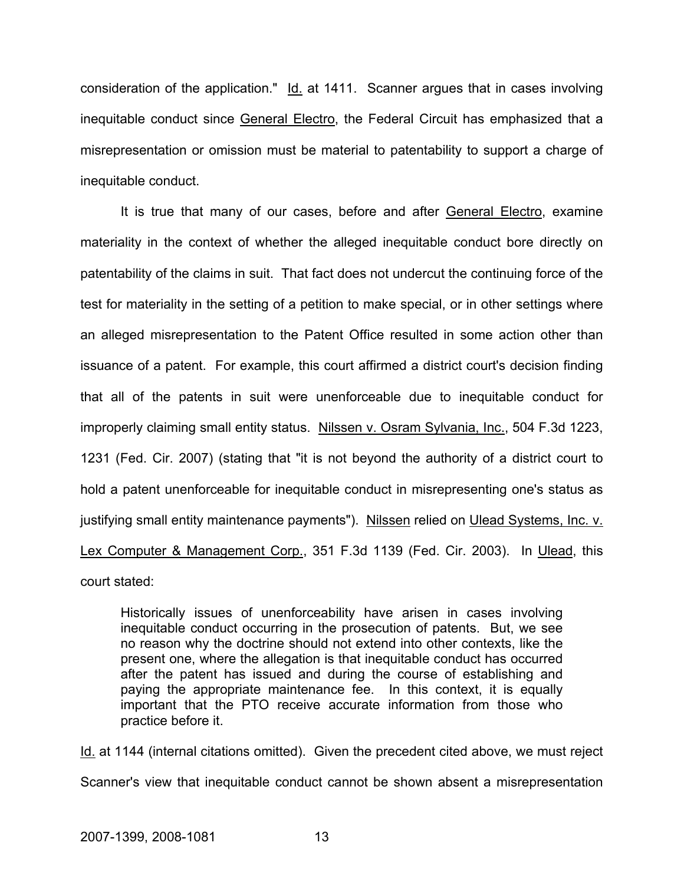consideration of the application." Id. at 1411. Scanner argues that in cases involving inequitable conduct since General Electro, the Federal Circuit has emphasized that a misrepresentation or omission must be material to patentability to support a charge of inequitable conduct.

It is true that many of our cases, before and after General Electro, examine materiality in the context of whether the alleged inequitable conduct bore directly on patentability of the claims in suit. That fact does not undercut the continuing force of the test for materiality in the setting of a petition to make special, or in other settings where an alleged misrepresentation to the Patent Office resulted in some action other than issuance of a patent. For example, this court affirmed a district court's decision finding that all of the patents in suit were unenforceable due to inequitable conduct for improperly claiming small entity status. Nilssen v. Osram Sylvania, Inc., 504 F.3d 1223, 1231 (Fed. Cir. 2007) (stating that "it is not beyond the authority of a district court to hold a patent unenforceable for inequitable conduct in misrepresenting one's status as justifying small entity maintenance payments"). Nilssen relied on Ulead Systems, Inc. v. Lex Computer & Management Corp., 351 F.3d 1139 (Fed. Cir. 2003). In Ulead, this court stated:

Historically issues of unenforceability have arisen in cases involving inequitable conduct occurring in the prosecution of patents. But, we see no reason why the doctrine should not extend into other contexts, like the present one, where the allegation is that inequitable conduct has occurred after the patent has issued and during the course of establishing and paying the appropriate maintenance fee. In this context, it is equally important that the PTO receive accurate information from those who practice before it.

Id. at 1144 (internal citations omitted). Given the precedent cited above, we must reject Scanner's view that inequitable conduct cannot be shown absent a misrepresentation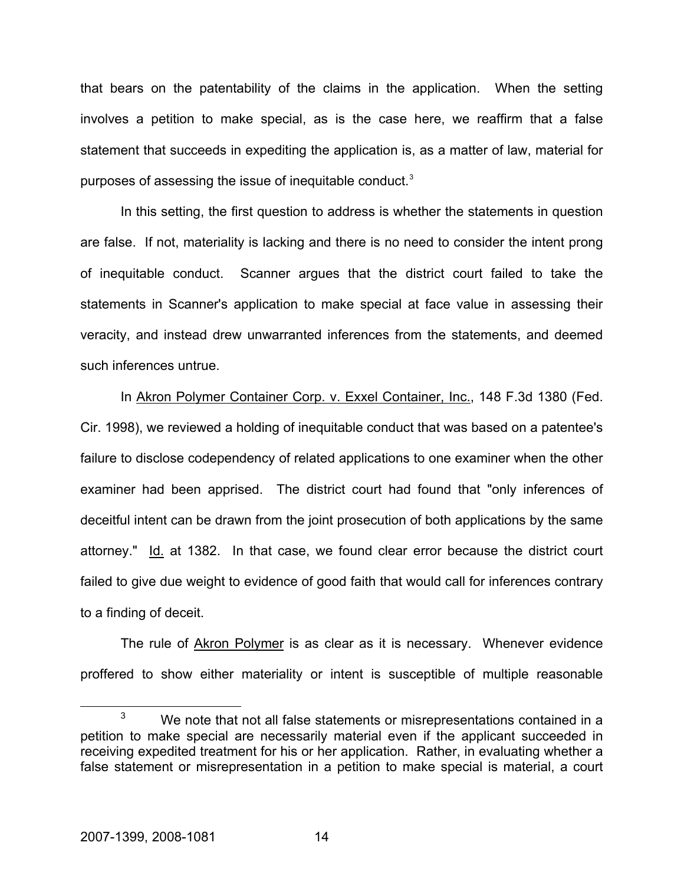that bears on the patentability of the claims in the application. When the setting involves a petition to make special, as is the case here, we reaffirm that a false statement that succeeds in expediting the application is, as a matter of law, material for purposes of assessing the issue of inequitable conduct.<sup>[3](#page-14-0)</sup>

In this setting, the first question to address is whether the statements in question are false. If not, materiality is lacking and there is no need to consider the intent prong of inequitable conduct. Scanner argues that the district court failed to take the statements in Scanner's application to make special at face value in assessing their veracity, and instead drew unwarranted inferences from the statements, and deemed such inferences untrue.

In Akron Polymer Container Corp. v. Exxel Container, Inc., 148 F.3d 1380 (Fed. Cir. 1998), we reviewed a holding of inequitable conduct that was based on a patentee's failure to disclose codependency of related applications to one examiner when the other examiner had been apprised. The district court had found that "only inferences of deceitful intent can be drawn from the joint prosecution of both applications by the same attorney." Id. at 1382. In that case, we found clear error because the district court failed to give due weight to evidence of good faith that would call for inferences contrary to a finding of deceit.

The rule of Akron Polymer is as clear as it is necessary. Whenever evidence proffered to show either materiality or intent is susceptible of multiple reasonable

<span id="page-14-0"></span> $\overline{\phantom{a}}$  3  $3 \times 10^{-3}$  We note that not all false statements or misrepresentations contained in a petition to make special are necessarily material even if the applicant succeeded in receiving expedited treatment for his or her application. Rather, in evaluating whether a false statement or misrepresentation in a petition to make special is material, a court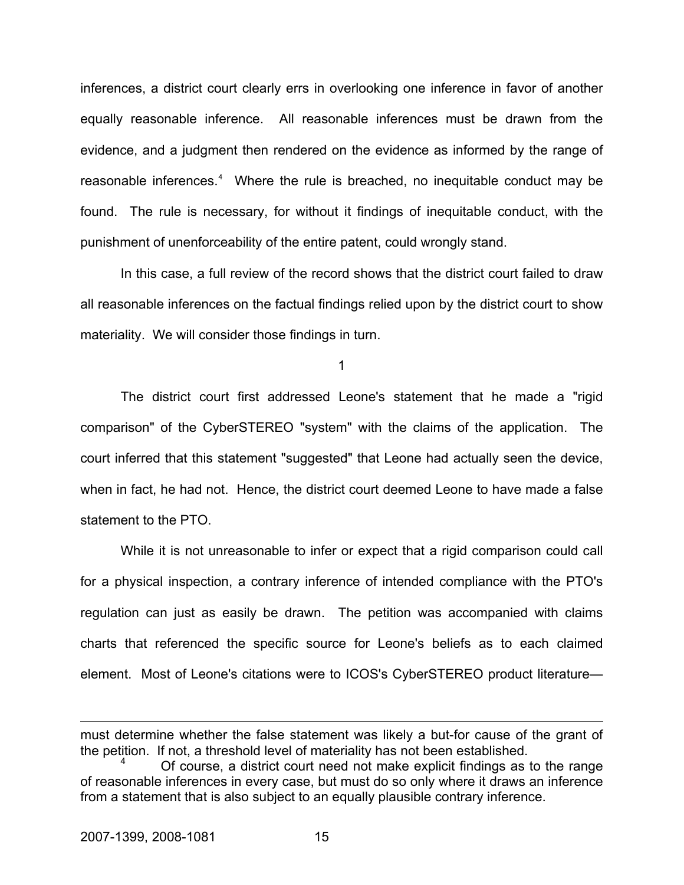inferences, a district court clearly errs in overlooking one inference in favor of another equally reasonable inference. All reasonable inferences must be drawn from the evidence, and a judgment then rendered on the evidence as informed by the range of reasonable inferences.<sup>[4](#page-15-0)</sup> Where the rule is breached, no inequitable conduct may be found. The rule is necessary, for without it findings of inequitable conduct, with the punishment of unenforceability of the entire patent, could wrongly stand.

In this case, a full review of the record shows that the district court failed to draw all reasonable inferences on the factual findings relied upon by the district court to show materiality. We will consider those findings in turn.

1

The district court first addressed Leone's statement that he made a "rigid comparison" of the CyberSTEREO "system" with the claims of the application. The court inferred that this statement "suggested" that Leone had actually seen the device, when in fact, he had not. Hence, the district court deemed Leone to have made a false statement to the PTO.

While it is not unreasonable to infer or expect that a rigid comparison could call for a physical inspection, a contrary inference of intended compliance with the PTO's regulation can just as easily be drawn. The petition was accompanied with claims charts that referenced the specific source for Leone's beliefs as to each claimed element. Most of Leone's citations were to ICOS's CyberSTEREO product literature—

 $\overline{a}$ 

must determine whether the false statement was likely a but-for cause of the grant of the petition. If not, a threshold level of materiality has not been established.

<span id="page-15-0"></span><sup>4</sup> Of course, a district court need not make explicit findings as to the range of reasonable inferences in every case, but must do so only where it draws an inference from a statement that is also subject to an equally plausible contrary inference.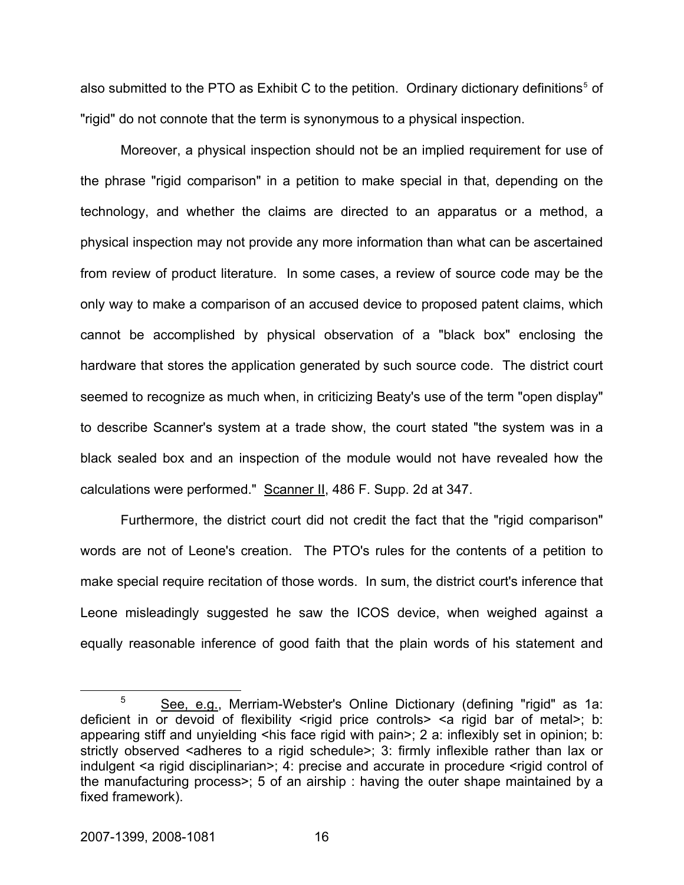also submitted to the PTO as Exhibit C to the petition. Ordinary dictionary definitions<sup>[5](#page-16-0)</sup> of "rigid" do not connote that the term is synonymous to a physical inspection.

Moreover, a physical inspection should not be an implied requirement for use of the phrase "rigid comparison" in a petition to make special in that, depending on the technology, and whether the claims are directed to an apparatus or a method, a physical inspection may not provide any more information than what can be ascertained from review of product literature. In some cases, a review of source code may be the only way to make a comparison of an accused device to proposed patent claims, which cannot be accomplished by physical observation of a "black box" enclosing the hardware that stores the application generated by such source code. The district court seemed to recognize as much when, in criticizing Beaty's use of the term "open display" to describe Scanner's system at a trade show, the court stated "the system was in a black sealed box and an inspection of the module would not have revealed how the calculations were performed." Scanner II, 486 F. Supp. 2d at 347.

Furthermore, the district court did not credit the fact that the "rigid comparison" words are not of Leone's creation. The PTO's rules for the contents of a petition to make special require recitation of those words. In sum, the district court's inference that Leone misleadingly suggested he saw the ICOS device, when weighed against a equally reasonable inference of good faith that the plain words of his statement and

<span id="page-16-0"></span> $\frac{1}{5}$  $5$  See, e.g., Merriam-Webster's Online Dictionary (defining "rigid" as 1a: deficient in or devoid of flexibility <rigid price controls> <a rigid bar of metal>; b: appearing stiff and unyielding  $\leq$ his face rigid with pain>; 2 a: inflexibly set in opinion; b: strictly observed <adheres to a rigid schedule>; 3: firmly inflexible rather than lax or indulgent <a rigid disciplinarian>; 4: precise and accurate in procedure <rigid control of the manufacturing process>; 5 of an airship : having the outer shape maintained by a fixed framework).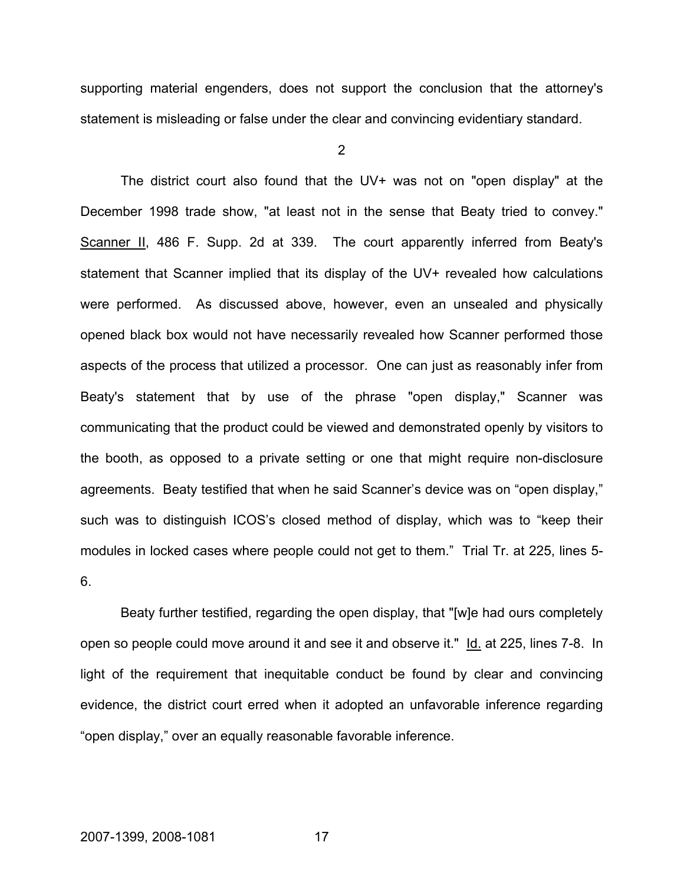supporting material engenders, does not support the conclusion that the attorney's statement is misleading or false under the clear and convincing evidentiary standard.

 $\mathfrak{p}$ 

 The district court also found that the UV+ was not on "open display" at the December 1998 trade show, "at least not in the sense that Beaty tried to convey." Scanner II, 486 F. Supp. 2d at 339. The court apparently inferred from Beaty's statement that Scanner implied that its display of the UV+ revealed how calculations were performed. As discussed above, however, even an unsealed and physically opened black box would not have necessarily revealed how Scanner performed those aspects of the process that utilized a processor. One can just as reasonably infer from Beaty's statement that by use of the phrase "open display," Scanner was communicating that the product could be viewed and demonstrated openly by visitors to the booth, as opposed to a private setting or one that might require non-disclosure agreements. Beaty testified that when he said Scanner's device was on "open display," such was to distinguish ICOS's closed method of display, which was to "keep their modules in locked cases where people could not get to them." Trial Tr. at 225, lines 5- 6.

Beaty further testified, regarding the open display, that "[w]e had ours completely open so people could move around it and see it and observe it." Id. at 225, lines 7-8. In light of the requirement that inequitable conduct be found by clear and convincing evidence, the district court erred when it adopted an unfavorable inference regarding "open display," over an equally reasonable favorable inference.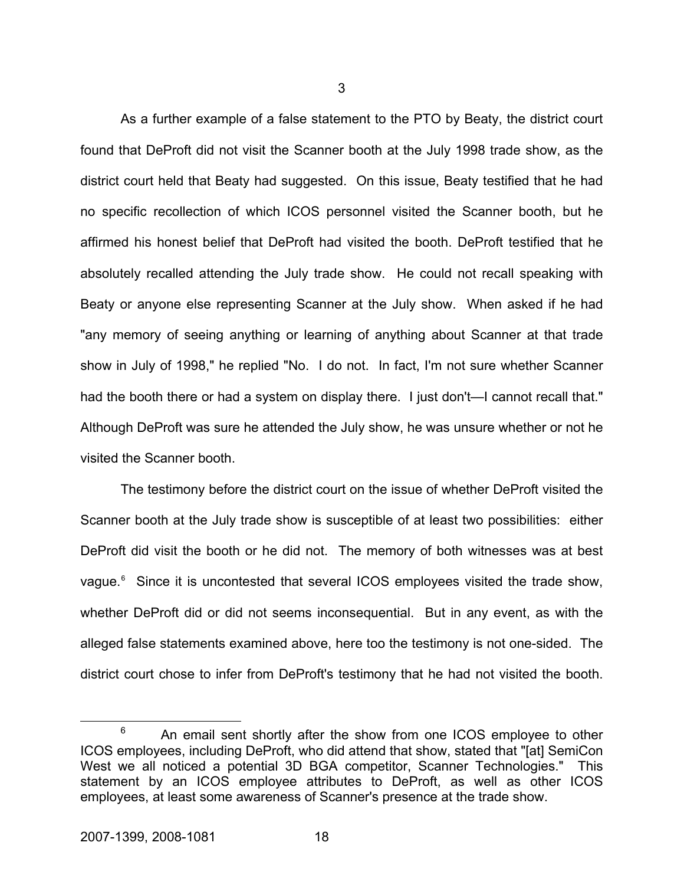As a further example of a false statement to the PTO by Beaty, the district court found that DeProft did not visit the Scanner booth at the July 1998 trade show, as the district court held that Beaty had suggested. On this issue, Beaty testified that he had no specific recollection of which ICOS personnel visited the Scanner booth, but he affirmed his honest belief that DeProft had visited the booth. DeProft testified that he absolutely recalled attending the July trade show. He could not recall speaking with Beaty or anyone else representing Scanner at the July show. When asked if he had "any memory of seeing anything or learning of anything about Scanner at that trade show in July of 1998," he replied "No. I do not. In fact, I'm not sure whether Scanner had the booth there or had a system on display there. I just don't—I cannot recall that." Although DeProft was sure he attended the July show, he was unsure whether or not he visited the Scanner booth.

The testimony before the district court on the issue of whether DeProft visited the Scanner booth at the July trade show is susceptible of at least two possibilities: either DeProft did visit the booth or he did not. The memory of both witnesses was at best vague.<sup>[6](#page-18-0)</sup> Since it is uncontested that several ICOS employees visited the trade show, whether DeProft did or did not seems inconsequential. But in any event, as with the alleged false statements examined above, here too the testimony is not one-sided. The district court chose to infer from DeProft's testimony that he had not visited the booth.

3

<span id="page-18-0"></span> <sup>6</sup>  $6$  An email sent shortly after the show from one ICOS employee to other ICOS employees, including DeProft, who did attend that show, stated that "[at] SemiCon West we all noticed a potential 3D BGA competitor, Scanner Technologies." This statement by an ICOS employee attributes to DeProft, as well as other ICOS employees, at least some awareness of Scanner's presence at the trade show.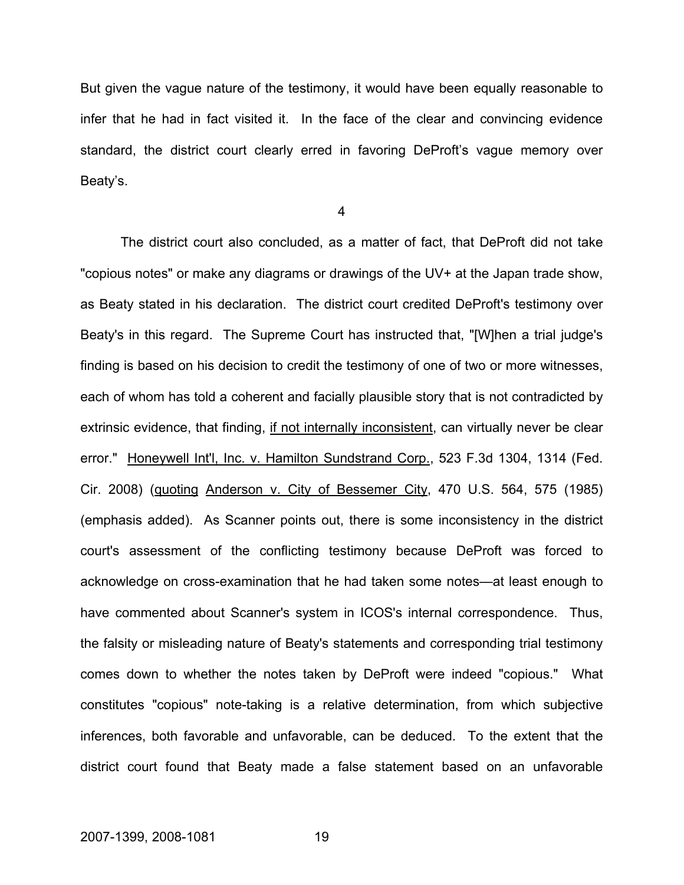But given the vague nature of the testimony, it would have been equally reasonable to infer that he had in fact visited it. In the face of the clear and convincing evidence standard, the district court clearly erred in favoring DeProft's vague memory over Beaty's.

4

The district court also concluded, as a matter of fact, that DeProft did not take "copious notes" or make any diagrams or drawings of the UV+ at the Japan trade show, as Beaty stated in his declaration. The district court credited DeProft's testimony over Beaty's in this regard. The Supreme Court has instructed that, "[W]hen a trial judge's finding is based on his decision to credit the testimony of one of two or more witnesses, each of whom has told a coherent and facially plausible story that is not contradicted by extrinsic evidence, that finding, if not internally inconsistent, can virtually never be clear error." Honeywell Int'l, Inc. v. Hamilton Sundstrand Corp., 523 F.3d 1304, 1314 (Fed. Cir. 2008) (quoting Anderson v. City of Bessemer City, 470 U.S. 564, 575 (1985) (emphasis added). As Scanner points out, there is some inconsistency in the district court's assessment of the conflicting testimony because DeProft was forced to acknowledge on cross-examination that he had taken some notes—at least enough to have commented about Scanner's system in ICOS's internal correspondence. Thus, the falsity or misleading nature of Beaty's statements and corresponding trial testimony comes down to whether the notes taken by DeProft were indeed "copious." What constitutes "copious" note-taking is a relative determination, from which subjective inferences, both favorable and unfavorable, can be deduced. To the extent that the district court found that Beaty made a false statement based on an unfavorable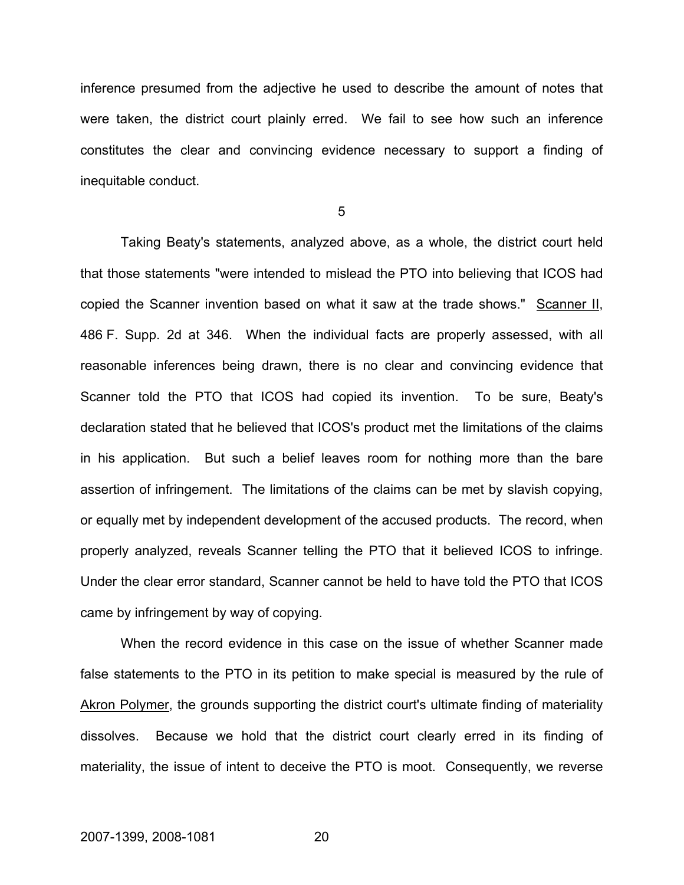inference presumed from the adjective he used to describe the amount of notes that were taken, the district court plainly erred. We fail to see how such an inference constitutes the clear and convincing evidence necessary to support a finding of inequitable conduct.

5

Taking Beaty's statements, analyzed above, as a whole, the district court held that those statements "were intended to mislead the PTO into believing that ICOS had copied the Scanner invention based on what it saw at the trade shows." Scanner II, 486 F. Supp. 2d at 346. When the individual facts are properly assessed, with all reasonable inferences being drawn, there is no clear and convincing evidence that Scanner told the PTO that ICOS had copied its invention. To be sure, Beaty's declaration stated that he believed that ICOS's product met the limitations of the claims in his application. But such a belief leaves room for nothing more than the bare assertion of infringement. The limitations of the claims can be met by slavish copying, or equally met by independent development of the accused products. The record, when properly analyzed, reveals Scanner telling the PTO that it believed ICOS to infringe. Under the clear error standard, Scanner cannot be held to have told the PTO that ICOS came by infringement by way of copying.

When the record evidence in this case on the issue of whether Scanner made false statements to the PTO in its petition to make special is measured by the rule of Akron Polymer, the grounds supporting the district court's ultimate finding of materiality dissolves. Because we hold that the district court clearly erred in its finding of materiality, the issue of intent to deceive the PTO is moot. Consequently, we reverse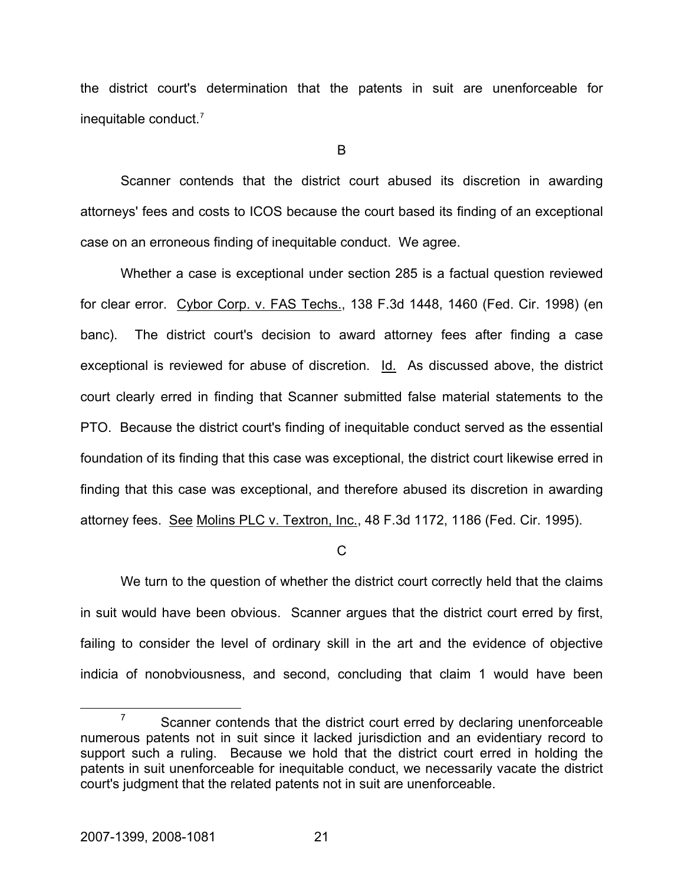the district court's determination that the patents in suit are unenforceable for inequitable conduct.[7](#page-21-0)

B

Scanner contends that the district court abused its discretion in awarding attorneys' fees and costs to ICOS because the court based its finding of an exceptional case on an erroneous finding of inequitable conduct. We agree.

Whether a case is exceptional under section 285 is a factual question reviewed for clear error. Cybor Corp. v. FAS Techs., 138 F.3d 1448, 1460 (Fed. Cir. 1998) (en banc). The district court's decision to award attorney fees after finding a case exceptional is reviewed for abuse of discretion. Id. As discussed above, the district court clearly erred in finding that Scanner submitted false material statements to the PTO. Because the district court's finding of inequitable conduct served as the essential foundation of its finding that this case was exceptional, the district court likewise erred in finding that this case was exceptional, and therefore abused its discretion in awarding attorney fees. See Molins PLC v. Textron, Inc., 48 F.3d 1172, 1186 (Fed. Cir. 1995).

 $\mathcal{C}$ 

We turn to the question of whether the district court correctly held that the claims in suit would have been obvious. Scanner argues that the district court erred by first, failing to consider the level of ordinary skill in the art and the evidence of objective indicia of nonobviousness, and second, concluding that claim 1 would have been

<span id="page-21-0"></span> $\frac{1}{7}$  $\frac{7}{10}$  Scanner contends that the district court erred by declaring unenforceable numerous patents not in suit since it lacked jurisdiction and an evidentiary record to support such a ruling. Because we hold that the district court erred in holding the patents in suit unenforceable for inequitable conduct, we necessarily vacate the district court's judgment that the related patents not in suit are unenforceable.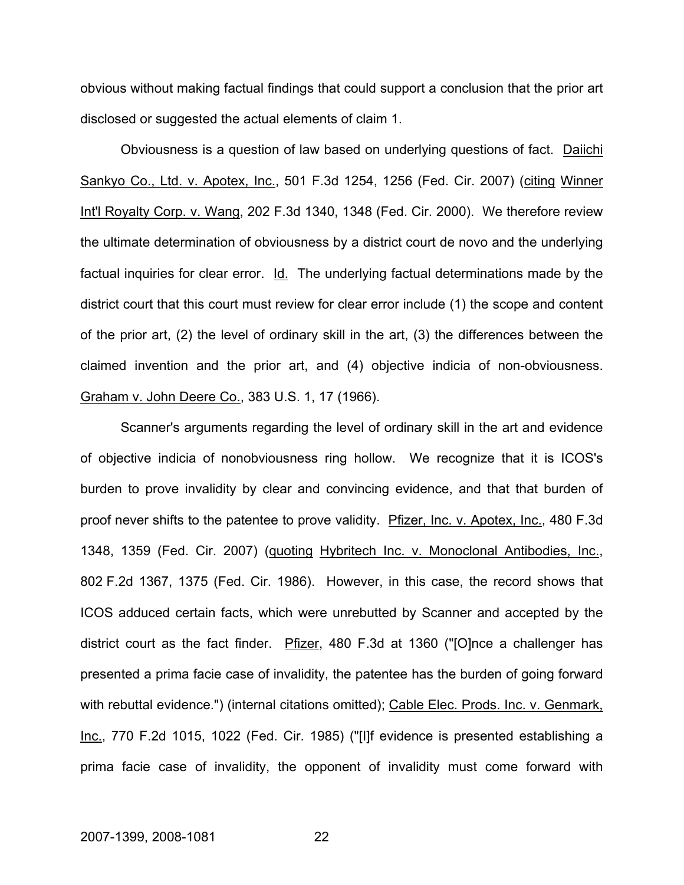obvious without making factual findings that could support a conclusion that the prior art disclosed or suggested the actual elements of claim 1.

Obviousness is a question of law based on underlying questions of fact. Daiichi Sankyo Co., Ltd. v. Apotex, Inc., 501 F.3d 1254, 1256 (Fed. Cir. 2007) (citing Winner Int'l Royalty Corp. v. Wang, 202 F.3d 1340, 1348 (Fed. Cir. 2000). We therefore review the ultimate determination of obviousness by a district court de novo and the underlying factual inquiries for clear error. Id. The underlying factual determinations made by the district court that this court must review for clear error include (1) the scope and content of the prior art, (2) the level of ordinary skill in the art, (3) the differences between the claimed invention and the prior art, and (4) objective indicia of non-obviousness. Graham v. John Deere Co., 383 U.S. 1, 17 (1966).

Scanner's arguments regarding the level of ordinary skill in the art and evidence of objective indicia of nonobviousness ring hollow. We recognize that it is ICOS's burden to prove invalidity by clear and convincing evidence, and that that burden of proof never shifts to the patentee to prove validity. Pfizer, Inc. v. Apotex, Inc., 480 F.3d 1348, 1359 (Fed. Cir. 2007) (quoting Hybritech Inc. v. Monoclonal Antibodies, Inc., 802 F.2d 1367, 1375 (Fed. Cir. 1986). However, in this case, the record shows that ICOS adduced certain facts, which were unrebutted by Scanner and accepted by the district court as the fact finder. Pfizer, 480 F.3d at 1360 ("[O]nce a challenger has presented a prima facie case of invalidity, the patentee has the burden of going forward with rebuttal evidence.") (internal citations omitted); Cable Elec. Prods. Inc. v. Genmark, Inc., 770 F.2d 1015, 1022 (Fed. Cir. 1985) ("[I]f evidence is presented establishing a prima facie case of invalidity, the opponent of invalidity must come forward with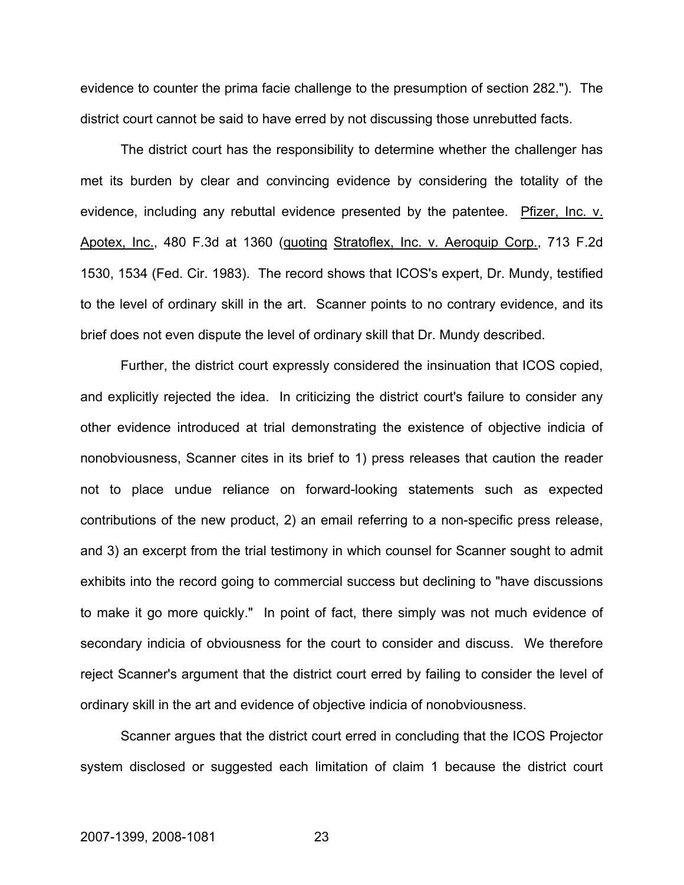evidence to counter the prima facie challenge to the presumption of section 282."). The district court cannot be said to have erred by not discussing those unrebutted facts.

The district court has the responsibility to determine whether the challenger has met its burden by clear and convincing evidence by considering the totality of the evidence, including any rebuttal evidence presented by the patentee. Pfizer, Inc. v. Apotex, Inc., 480 F.3d at 1360 (quoting Stratoflex, Inc. v. Aeroquip Corp., 713 F.2d 1530, 1534 (Fed. Cir. 1983). The record shows that ICOS's expert, Dr. Mundy, testified to the level of ordinary skill in the art. Scanner points to no contrary evidence, and its brief does not even dispute the level of ordinary skill that Dr. Mundy described.

Further, the district court expressly considered the insinuation that ICOS copied, and explicitly rejected the idea. In criticizing the district court's failure to consider any other evidence introduced at trial demonstrating the existence of objective indicia of nonobviousness, Scanner cites in its brief to 1) press releases that caution the reader not to place undue reliance on forward-looking statements such as expected contributions of the new product, 2) an email referring to a non-specific press release, and 3) an excerpt from the trial testimony in which counsel for Scanner sought to admit exhibits into the record going to commercial success but declining to "have discussions to make it go more quickly." In point of fact, there simply was not much evidence of secondary indicia of obviousness for the court to consider and discuss. We therefore reject Scanner's argument that the district court erred by failing to consider the level of ordinary skill in the art and evidence of objective indicia of nonobviousness.

Scanner argues that the district court erred in concluding that the ICOS Projector system disclosed or suggested each limitation of claim 1 because the district court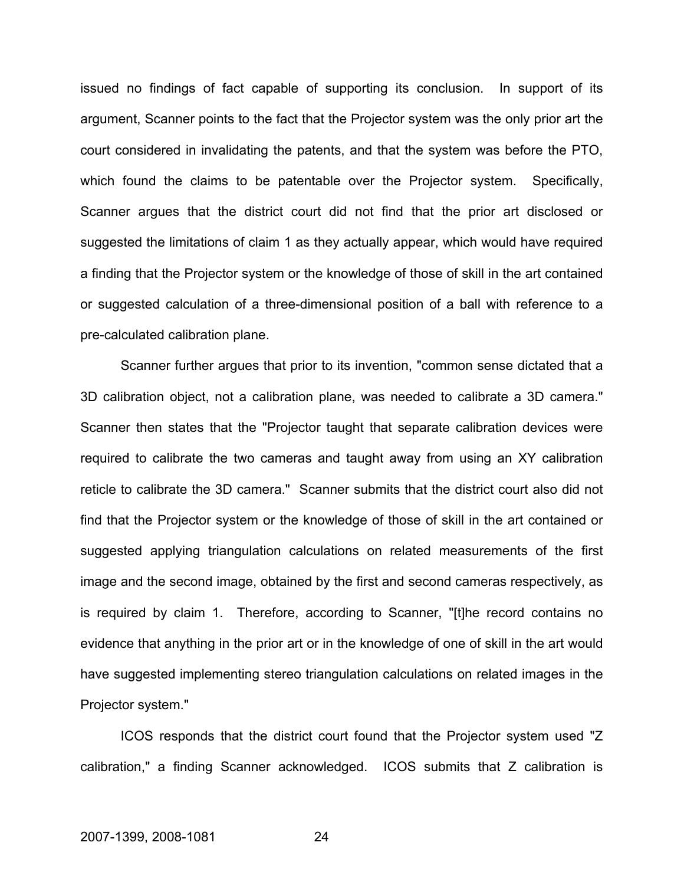issued no findings of fact capable of supporting its conclusion. In support of its argument, Scanner points to the fact that the Projector system was the only prior art the court considered in invalidating the patents, and that the system was before the PTO, which found the claims to be patentable over the Projector system. Specifically, Scanner argues that the district court did not find that the prior art disclosed or suggested the limitations of claim 1 as they actually appear, which would have required a finding that the Projector system or the knowledge of those of skill in the art contained or suggested calculation of a three-dimensional position of a ball with reference to a pre-calculated calibration plane.

Scanner further argues that prior to its invention, "common sense dictated that a 3D calibration object, not a calibration plane, was needed to calibrate a 3D camera." Scanner then states that the "Projector taught that separate calibration devices were required to calibrate the two cameras and taught away from using an XY calibration reticle to calibrate the 3D camera." Scanner submits that the district court also did not find that the Projector system or the knowledge of those of skill in the art contained or suggested applying triangulation calculations on related measurements of the first image and the second image, obtained by the first and second cameras respectively, as is required by claim 1. Therefore, according to Scanner, "[t]he record contains no evidence that anything in the prior art or in the knowledge of one of skill in the art would have suggested implementing stereo triangulation calculations on related images in the Projector system."

ICOS responds that the district court found that the Projector system used "Z calibration," a finding Scanner acknowledged. ICOS submits that Z calibration is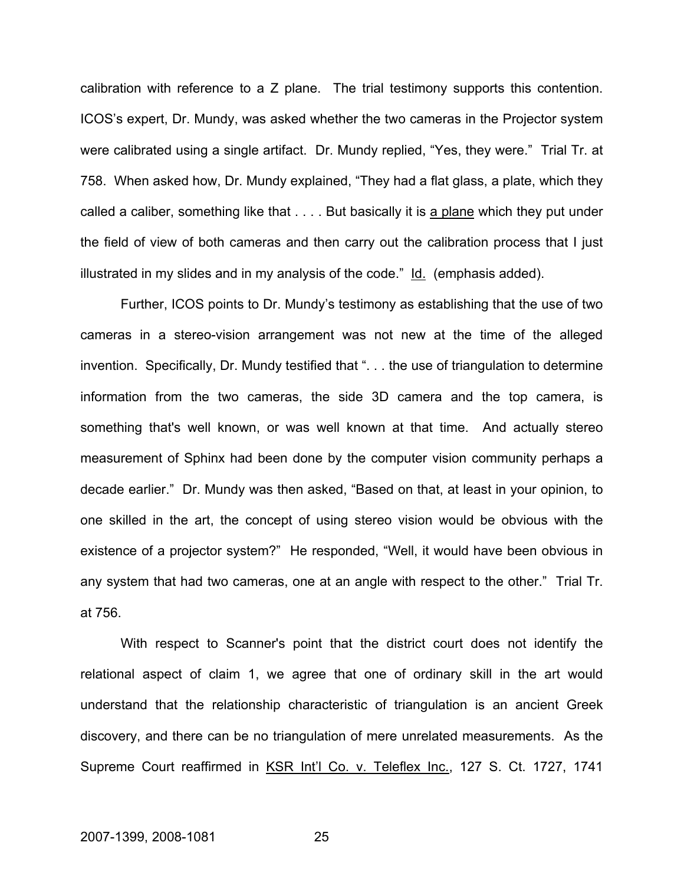calibration with reference to a Z plane. The trial testimony supports this contention. ICOS's expert, Dr. Mundy, was asked whether the two cameras in the Projector system were calibrated using a single artifact. Dr. Mundy replied, "Yes, they were." Trial Tr. at 758. When asked how, Dr. Mundy explained, "They had a flat glass, a plate, which they called a caliber, something like that . . . . But basically it is a plane which they put under the field of view of both cameras and then carry out the calibration process that I just illustrated in my slides and in my analysis of the code." Id. (emphasis added).

Further, ICOS points to Dr. Mundy's testimony as establishing that the use of two cameras in a stereo-vision arrangement was not new at the time of the alleged invention. Specifically, Dr. Mundy testified that ". . . the use of triangulation to determine information from the two cameras, the side 3D camera and the top camera, is something that's well known, or was well known at that time. And actually stereo measurement of Sphinx had been done by the computer vision community perhaps a decade earlier." Dr. Mundy was then asked, "Based on that, at least in your opinion, to one skilled in the art, the concept of using stereo vision would be obvious with the existence of a projector system?" He responded, "Well, it would have been obvious in any system that had two cameras, one at an angle with respect to the other." Trial Tr. at 756.

With respect to Scanner's point that the district court does not identify the relational aspect of claim 1, we agree that one of ordinary skill in the art would understand that the relationship characteristic of triangulation is an ancient Greek discovery, and there can be no triangulation of mere unrelated measurements. As the Supreme Court reaffirmed in KSR Int'l Co. v. Teleflex Inc., 127 S. Ct. 1727, 1741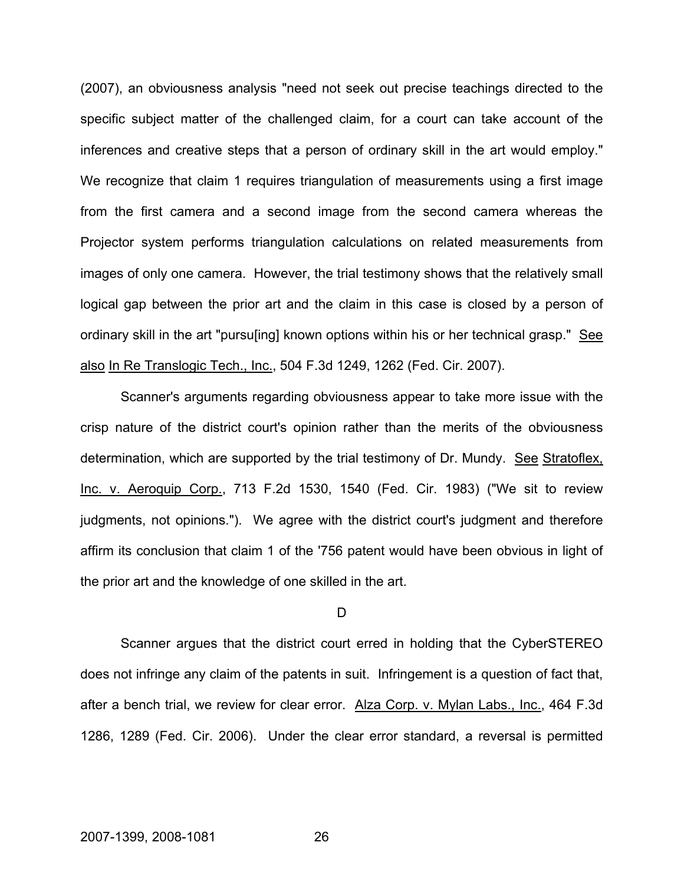(2007), an obviousness analysis "need not seek out precise teachings directed to the specific subject matter of the challenged claim, for a court can take account of the inferences and creative steps that a person of ordinary skill in the art would employ." We recognize that claim 1 requires triangulation of measurements using a first image from the first camera and a second image from the second camera whereas the Projector system performs triangulation calculations on related measurements from images of only one camera. However, the trial testimony shows that the relatively small logical gap between the prior art and the claim in this case is closed by a person of ordinary skill in the art "pursu[ing] known options within his or her technical grasp." See also In Re Translogic Tech., Inc., 504 F.3d 1249, 1262 (Fed. Cir. 2007).

Scanner's arguments regarding obviousness appear to take more issue with the crisp nature of the district court's opinion rather than the merits of the obviousness determination, which are supported by the trial testimony of Dr. Mundy. See Stratoflex, Inc. v. Aeroquip Corp., 713 F.2d 1530, 1540 (Fed. Cir. 1983) ("We sit to review judgments, not opinions."). We agree with the district court's judgment and therefore affirm its conclusion that claim 1 of the '756 patent would have been obvious in light of the prior art and the knowledge of one skilled in the art.

### $\overline{D}$

Scanner argues that the district court erred in holding that the CyberSTEREO does not infringe any claim of the patents in suit. Infringement is a question of fact that, after a bench trial, we review for clear error. Alza Corp. v. Mylan Labs., Inc., 464 F.3d 1286, 1289 (Fed. Cir. 2006). Under the clear error standard, a reversal is permitted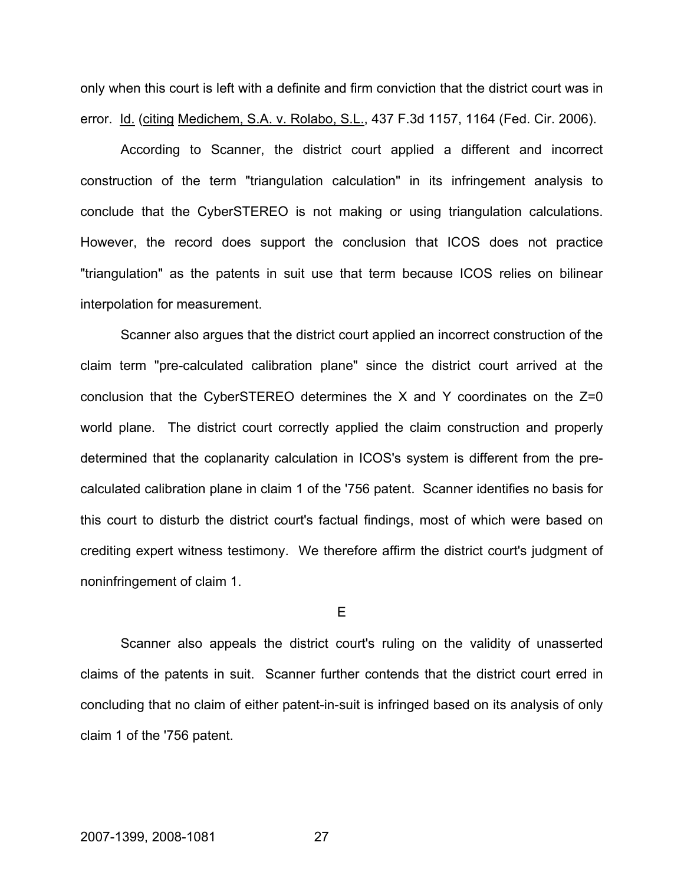only when this court is left with a definite and firm conviction that the district court was in error. Id. (citing Medichem, S.A. v. Rolabo, S.L., 437 F.3d 1157, 1164 (Fed. Cir. 2006).

According to Scanner, the district court applied a different and incorrect construction of the term "triangulation calculation" in its infringement analysis to conclude that the CyberSTEREO is not making or using triangulation calculations. However, the record does support the conclusion that ICOS does not practice "triangulation" as the patents in suit use that term because ICOS relies on bilinear interpolation for measurement.

Scanner also argues that the district court applied an incorrect construction of the claim term "pre-calculated calibration plane" since the district court arrived at the conclusion that the CyberSTEREO determines the X and Y coordinates on the Z=0 world plane. The district court correctly applied the claim construction and properly determined that the coplanarity calculation in ICOS's system is different from the precalculated calibration plane in claim 1 of the '756 patent. Scanner identifies no basis for this court to disturb the district court's factual findings, most of which were based on crediting expert witness testimony. We therefore affirm the district court's judgment of noninfringement of claim 1.

E

Scanner also appeals the district court's ruling on the validity of unasserted claims of the patents in suit. Scanner further contends that the district court erred in concluding that no claim of either patent-in-suit is infringed based on its analysis of only claim 1 of the '756 patent.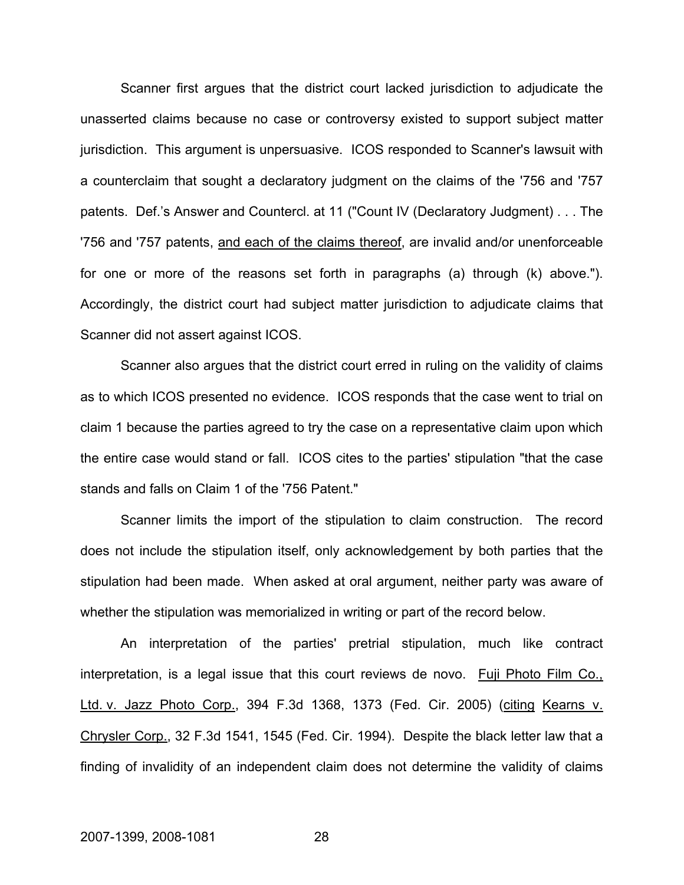Scanner first argues that the district court lacked jurisdiction to adjudicate the unasserted claims because no case or controversy existed to support subject matter jurisdiction. This argument is unpersuasive. ICOS responded to Scanner's lawsuit with a counterclaim that sought a declaratory judgment on the claims of the '756 and '757 patents. Def.'s Answer and Countercl. at 11 ("Count IV (Declaratory Judgment) . . . The '756 and '757 patents, and each of the claims thereof, are invalid and/or unenforceable for one or more of the reasons set forth in paragraphs (a) through (k) above."). Accordingly, the district court had subject matter jurisdiction to adjudicate claims that Scanner did not assert against ICOS.

Scanner also argues that the district court erred in ruling on the validity of claims as to which ICOS presented no evidence. ICOS responds that the case went to trial on claim 1 because the parties agreed to try the case on a representative claim upon which the entire case would stand or fall. ICOS cites to the parties' stipulation "that the case stands and falls on Claim 1 of the '756 Patent."

Scanner limits the import of the stipulation to claim construction. The record does not include the stipulation itself, only acknowledgement by both parties that the stipulation had been made. When asked at oral argument, neither party was aware of whether the stipulation was memorialized in writing or part of the record below.

An interpretation of the parties' pretrial stipulation, much like contract interpretation, is a legal issue that this court reviews de novo. Fuji Photo Film Co., Ltd. v. Jazz Photo Corp., 394 F.3d 1368, 1373 (Fed. Cir. 2005) (citing Kearns v. Chrysler Corp., 32 F.3d 1541, 1545 (Fed. Cir. 1994). Despite the black letter law that a finding of invalidity of an independent claim does not determine the validity of claims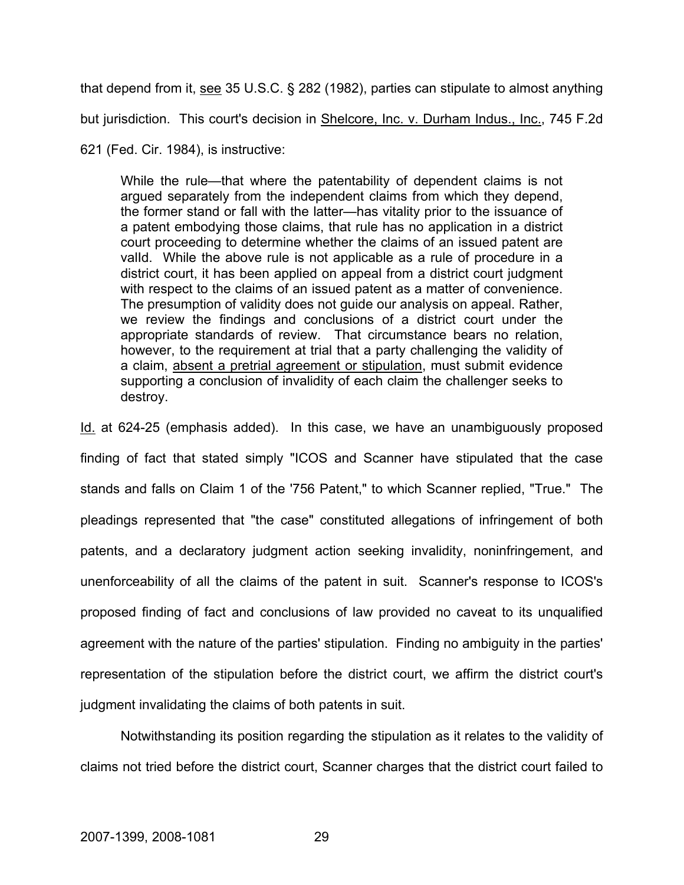that depend from it, see 35 U.S.C. § 282 (1982), parties can stipulate to almost anything but jurisdiction. This court's decision in Shelcore, Inc. v. Durham Indus., Inc., 745 F.2d

621 (Fed. Cir. 1984), is instructive:

While the rule—that where the patentability of dependent claims is not argued separately from the independent claims from which they depend, the former stand or fall with the latter—has vitality prior to the issuance of a patent embodying those claims, that rule has no application in a district court proceeding to determine whether the claims of an issued patent are valId. While the above rule is not applicable as a rule of procedure in a district court, it has been applied on appeal from a district court judgment with respect to the claims of an issued patent as a matter of convenience. The presumption of validity does not guide our analysis on appeal. Rather, we review the findings and conclusions of a district court under the appropriate standards of review. That circumstance bears no relation, however, to the requirement at trial that a party challenging the validity of a claim, absent a pretrial agreement or stipulation, must submit evidence supporting a conclusion of invalidity of each claim the challenger seeks to destroy.

Id. at 624-25 (emphasis added). In this case, we have an unambiguously proposed finding of fact that stated simply "ICOS and Scanner have stipulated that the case stands and falls on Claim 1 of the '756 Patent," to which Scanner replied, "True." The pleadings represented that "the case" constituted allegations of infringement of both patents, and a declaratory judgment action seeking invalidity, noninfringement, and unenforceability of all the claims of the patent in suit. Scanner's response to ICOS's proposed finding of fact and conclusions of law provided no caveat to its unqualified agreement with the nature of the parties' stipulation. Finding no ambiguity in the parties' representation of the stipulation before the district court, we affirm the district court's judgment invalidating the claims of both patents in suit.

Notwithstanding its position regarding the stipulation as it relates to the validity of claims not tried before the district court, Scanner charges that the district court failed to